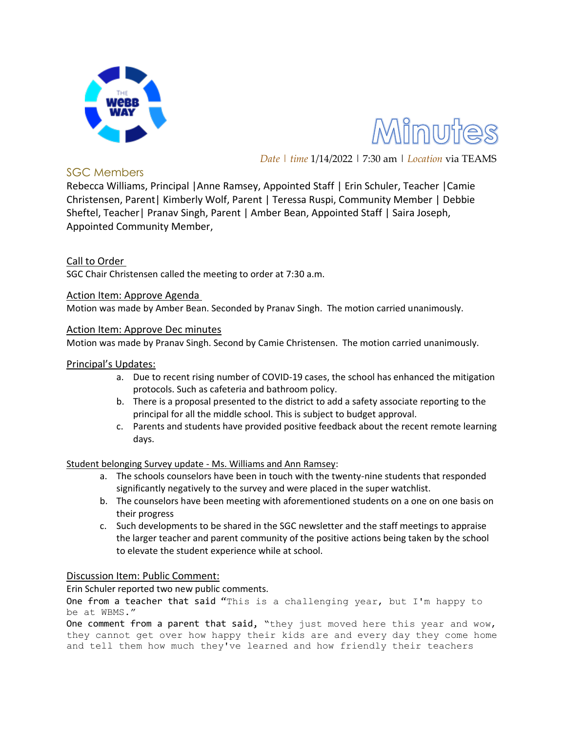

Minutes

*Date | time* 1/14/2022 | 7:30 am | *Location* via TEAMS

# SGC Members

Rebecca Williams, Principal |Anne Ramsey, Appointed Staff | Erin Schuler, Teacher |Camie Christensen, Parent| Kimberly Wolf, Parent | Teressa Ruspi, Community Member | Debbie Sheftel, Teacher| Pranav Singh, Parent | Amber Bean, Appointed Staff | Saira Joseph, Appointed Community Member,

# Call to Order

SGC Chair Christensen called the meeting to order at 7:30 a.m.

Action Item: Approve Agenda

Motion was made by Amber Bean. Seconded by Pranav Singh. The motion carried unanimously.

## Action Item: Approve Dec minutes

Motion was made by Pranav Singh. Second by Camie Christensen. The motion carried unanimously.

### Principal's Updates:

- a. Due to recent rising number of COVID-19 cases, the school has enhanced the mitigation protocols. Such as cafeteria and bathroom policy.
- b. There is a proposal presented to the district to add a safety associate reporting to the principal for all the middle school. This is subject to budget approval.
- c. Parents and students have provided positive feedback about the recent remote learning days.

#### Student belonging Survey update - Ms. Williams and Ann Ramsey:

- a. The schools counselors have been in touch with the twenty-nine students that responded significantly negatively to the survey and were placed in the super watchlist.
- b. The counselors have been meeting with aforementioned students on a one on one basis on their progress
- c. Such developments to be shared in the SGC newsletter and the staff meetings to appraise the larger teacher and parent community of the positive actions being taken by the school to elevate the student experience while at school.

## Discussion Item: Public Comment:

Erin Schuler reported two new public comments.

One from a teacher that said "This is a challenging year, but I'm happy to be at WBMS."

One comment from a parent that said, "they just moved here this year and wow, they cannot get over how happy their kids are and every day they come home and tell them how much they've learned and how friendly their teachers